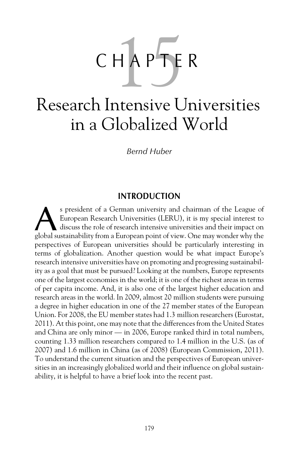# CHAPTER

# Research Intensive Universities in a Globalized World

*Bernd Huber*

#### **INTRODUCTION**

s president of a German university and chairman of the League of European Research Universities (LERU), it is my special interest to discuss the role of research intensive universities and their impact on s president of a German university and chairman of the League of European Research Universities (LERU), it is my special interest to discuss the role of research intensive universities and their impact on global sustainabi perspectives of European universities should be particularly interesting in terms of globalization. Another question would be what impact Europe's research intensive universities have on promoting and progressing sustainability as a goal that must be pursued? Looking at the numbers, Europe represents one of the largest economies in the world; it is one of the richest areas in terms of per capita income. And, it is also one of the largest higher education and research areas in the world. In 2009, almost 20 million students were pursuing a degree in higher education in one of the 27 member states of the European Union. For 2008, the EU member states had 1.3 million researchers (Eurostat, 2011). At this point, one may note that the differences from the United States and China are only minor — in 2006, Europe ranked third in total numbers, counting 1.33 million researchers compared to 1.4 million in the U.S. (as of 2007) and 1.6 million in China (as of 2008) (European Commission, 2011). To understand the current situation and the perspectives of European universities in an increasingly globalized world and their influence on global sustainability, it is helpful to have a brief look into the recent past.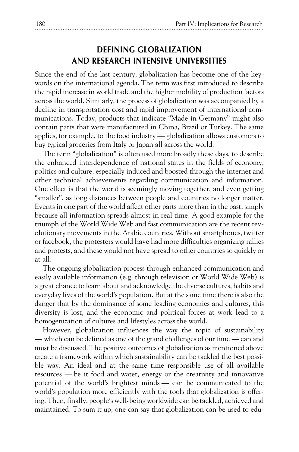## **DEFINING GLOBALIZATION AND RESEARCH INTENSIVE UNIVERSITIES**

Since the end of the last century, globalization has become one of the keywords on the international agenda. The term was first introduced to describe the rapid increase in world trade and the higher mobility of production factors across the world. Similarly, the process of globalization was accompanied by a decline in transportation cost and rapid improvement of international communications. Today, products that indicate "Made in Germany" might also contain parts that were manufactured in China, Brazil or Turkey. The same applies, for example, to the food industry — globalization allows customers to buy typical groceries from Italy or Japan all across the world.

The term "globalization" is often used more broadly these days, to describe the enhanced interdependence of national states in the fields of economy, politics and culture, especially induced and boosted through the internet and other technical achievements regarding communication and information. One effect is that the world is seemingly moving together, and even getting "smaller", as long distances between people and countries no longer matter. Events in one part of the world affect other parts more than in the past, simply because all information spreads almost in real time. A good example for the triumph of the World Wide Web and fast communication are the recent revolutionary movements in the Arabic countries. Without smartphones, twitter or facebook, the protesters would have had more difficulties organizing rallies and protests, and these would not have spread to other countries so quickly or at all.

The ongoing globalization process through enhanced communication and easily available information (e.g. through television or World Wide Web) is a great chance to learn about and acknowledge the diverse cultures, habits and everyday lives of the world's population. But at the same time there is also the danger that by the dominance of some leading economies and cultures, this diversity is lost, and the economic and political forces at work lead to a homogenization of cultures and lifestyles across the world.

However, globalization influences the way the topic of sustainability — which can be defined as one of the grand challenges of our time — can and must be discussed. The positive outcomes of globalization as mentioned above create a framework within which sustainability can be tackled the best possible way. An ideal and at the same time responsible use of all available resources — be it food and water, energy or the creativity and innovative potential of the world's brightest minds — can be communicated to the world's population more efficiently with the tools that globalization is offering. Then, finally, people's well-being worldwide can be tackled, achieved and maintained. To sum it up, one can say that globalization can be used to edu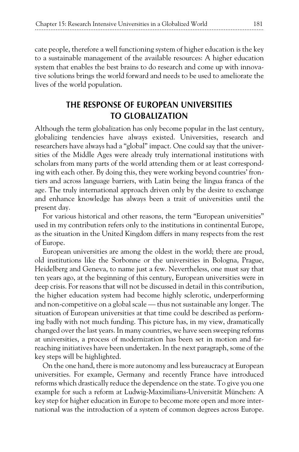cate people, therefore a well functioning system of higher education is the key to a sustainable management of the available resources: A higher education system that enables the best brains to do research and come up with innovative solutions brings the world forward and needs to be used to ameliorate the lives of the world population.

### **THE RESPONSE OF EUROPEAN UNIVERSITIES TO GLOBALIZATION**

Although the term globalization has only become popular in the last century, globalizing tendencies have always existed. Universities, research and researchers have always had a "global" impact. One could say that the universities of the Middle Ages were already truly international institutions with scholars from many parts of the world attending them or at least corresponding with each other. By doing this, they were working beyond countries' frontiers and across language barriers, with Latin being the lingua franca of the age. The truly international approach driven only by the desire to exchange and enhance knowledge has always been a trait of universities until the present day.

For various historical and other reasons, the term "European universities" used in my contribution refers only to the institutions in continental Europe, as the situation in the United Kingdom differs in many respects from the rest of Europe.

European universities are among the oldest in the world; there are proud, old institutions like the Sorbonne or the universities in Bologna, Prague, Heidelberg and Geneva, to name just a few. Nevertheless, one must say that ten years ago, at the beginning of this century, European universities were in deep crisis. For reasons that will not be discussed in detail in this contribution, the higher education system had become highly sclerotic, underperforming and non-competitive on a global scale — thus not sustainable any longer. The situation of European universities at that time could be described as performing badly with not much funding. This picture has, in my view, dramatically changed over the last years. In many countries, we have seen sweeping reforms at universities, a process of modernization has been set in motion and farreaching initiatives have been undertaken. In the next paragraph, some of the key steps will be highlighted.

On the one hand, there is more autonomy and less bureaucracy at European universities. For example, Germany and recently France have introduced reforms which drastically reduce the dependence on the state. To give you one example for such a reform at Ludwig-Maximilians-Universität München: A key step for higher education in Europe to become more open and more international was the introduction of a system of common degrees across Europe.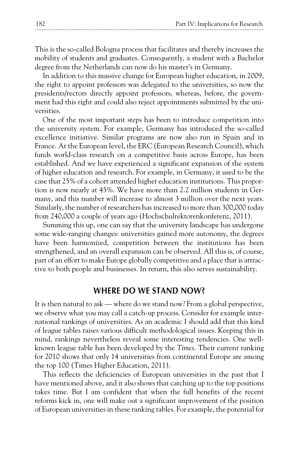This is the so-called Bologna process that facilitates and thereby increases the mobility of students and graduates. Consequently, a student with a Bachelor degree from the Netherlands can now do his master's in Germany.

In addition to this massive change for European higher education, in 2009, the right to appoint professors was delegated to the universities, so now the presidents/rectors directly appoint professors, whereas, before, the government had this right and could also reject appointments submitted by the universities.

One of the most important steps has been to introduce competition into the university system. For example, Germany has introduced the so-called excellence initiative. Similar programs are now also run in Spain and in France. At the European level, the ERC (European Research Council), which funds world-class research on a competitive basis across Europe, has been established. And we have experienced a significant expansion of the system of higher education and research. For example, in Germany, it used to be the case that 25% of a cohort attended higher education institutions. This proportion is now nearly at 45%. We have more than 2.2 million students in Germany, and this number will increase to almost 3 million over the next years. Similarly, the number of researchers has increased to more than 300,000 today from 240,000 a couple of years ago (Hochschulrektorenkonferenz, 2011).

Summing this up, one can say that the university landscape has undergone some wide-ranging changes: universities gained more autonomy, the degrees have been harmonized, competition between the institutions has been strengthened, and an overall expansion can be observed. All this is, of course, part of an effort to make Europe globally competitive and a place that is attractive to both people and businesses. In return, this also serves sustainability.

#### **WHERE DO WE STAND NOW?**

It is then natural to ask — where do we stand now? From a global perspective, we observe what you may call a catch-up process. Consider for example international rankings of universities. As an academic I should add that this kind of league tables raises various difficult methodological issues. Keeping this in mind, rankings nevertheless reveal some interesting tendencies. One wellknown league table has been developed by the *Times*. Their current ranking for 2010 shows that only 14 universities from continental Europe are among the top 100 (Times Higher Education, 2011).

This reflects the deficiencies of European universities in the past that I have mentioned above, and it also shows that catching up to the top positions takes time. But I am confident that when the full benefits of the recent reforms kick in, one will make out a significant improvement of the position of European universities in these ranking tables. For example, the potential for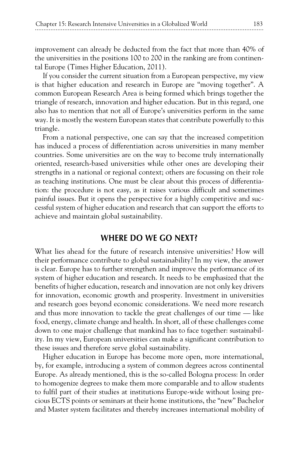improvement can already be deducted from the fact that more than 40% of the universities in the positions 100 to 200 in the ranking are from continental Europe (Times Higher Education, 2011).

If you consider the current situation from a European perspective, my view is that higher education and research in Europe are "moving together". A common European Research Area is being formed which brings together the triangle of research, innovation and higher education. But in this regard, one also has to mention that not all of Europe's universities perform in the same way. It is mostly the western European states that contribute powerfully to this triangle.

From a national perspective, one can say that the increased competition has induced a process of differentiation across universities in many member countries. Some universities are on the way to become truly internationally oriented, research-based universities while other ones are developing their strengths in a national or regional context; others are focussing on their role as teaching institutions. One must be clear about this process of differentiation: the procedure is not easy, as it raises various difficult and sometimes painful issues. But it opens the perspective for a highly competitive and successful system of higher education and research that can support the efforts to achieve and maintain global sustainability.

#### **WHERE DO WE GO NEXT?**

What lies ahead for the future of research intensive universities? How will their performance contribute to global sustainability? In my view, the answer is clear. Europe has to further strengthen and improve the performance of its system of higher education and research. It needs to be emphasized that the benefits of higher education, research and innovation are not only key drivers for innovation, economic growth and prosperity. Investment in universities and research goes beyond economic considerations. We need more research and thus more innovation to tackle the great challenges of our time — like food, energy, climate change and health. In short, all of these challenges come down to one major challenge that mankind has to face together: sustainability. In my view, European universities can make a significant contribution to these issues and therefore serve global sustainability.

Higher education in Europe has become more open, more international, by, for example, introducing a system of common degrees across continental Europe. As already mentioned, this is the so-called Bologna process: In order to homogenize degrees to make them more comparable and to allow students to fulfil part of their studies at institutions Europe-wide without losing precious ECTS points or seminars at their home institutions, the "new" Bachelor and Master system facilitates and thereby increases international mobility of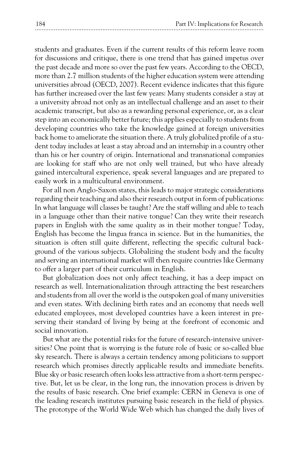students and graduates. Even if the current results of this reform leave room for discussions and critique, there is one trend that has gained impetus over the past decade and more so over the past few years. According to the OECD, more than 2.7 million students of the higher education system were attending universities abroad (OECD, 2007). Recent evidence indicates that this figure has further increased over the last few years: Many students consider a stay at a university abroad not only as an intellectual challenge and an asset to their academic transcript, but also as a rewarding personal experience, or, as a clear step into an economically better future; this applies especially to students from developing countries who take the knowledge gained at foreign universities back home to ameliorate the situation there. A truly globalized profile of a student today includes at least a stay abroad and an internship in a country other than his or her country of origin. International and transnational companies are looking for staff who are not only well trained, but who have already gained intercultural experience, speak several languages and are prepared to easily work in a multicultural environment.

For all non Anglo-Saxon states, this leads to major strategic considerations regarding their teaching and also their research output in form of publications: In what language will classes be taught? Are the staff willing and able to teach in a language other than their native tongue? Can they write their research papers in English with the same quality as in their mother tongue? Today, English has become the lingua franca in science. But in the humanities, the situation is often still quite different, reflecting the specific cultural background of the various subjects. Globalizing the student body and the faculty and serving an international market will then require countries like Germany to offer a larger part of their curriculum in English.

But globalization does not only affect teaching, it has a deep impact on research as well. Internationalization through attracting the best researchers and students from all over the world is the outspoken goal of many universities and even states. With declining birth rates and an economy that needs well educated employees, most developed countries have a keen interest in preserving their standard of living by being at the forefront of economic and social innovation.

But what are the potential risks for the future of research-intensive universities? One point that is worrying is the future role of basic or so-called blue sky research. There is always a certain tendency among politicians to support research which promises directly applicable results and immediate benefits. Blue sky or basic research often looks less attractive from a short-term perspective. But, let us be clear, in the long run, the innovation process is driven by the results of basic research. One brief example: CERN in Geneva is one of the leading research institutes pursuing basic research in the field of physics. The prototype of the World Wide Web which has changed the daily lives of